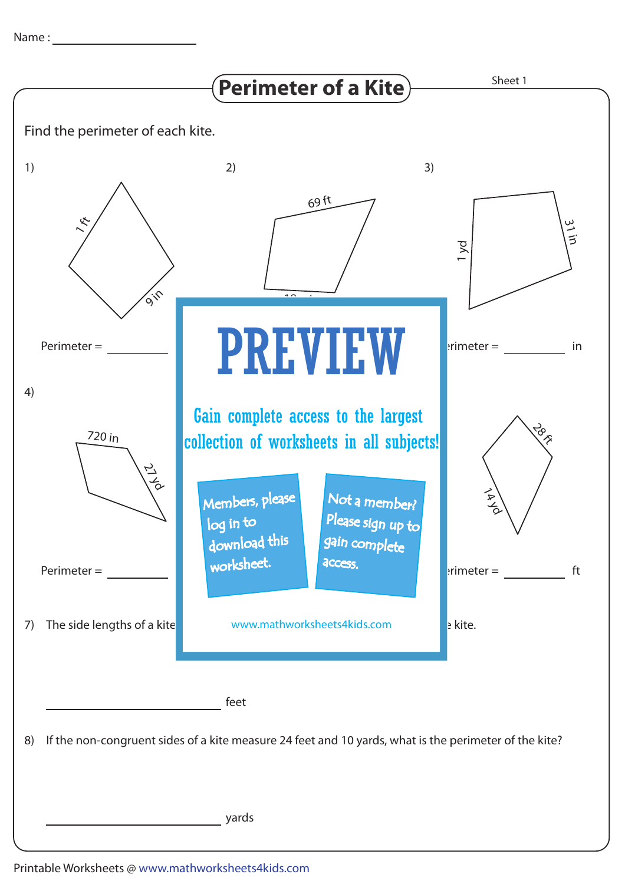